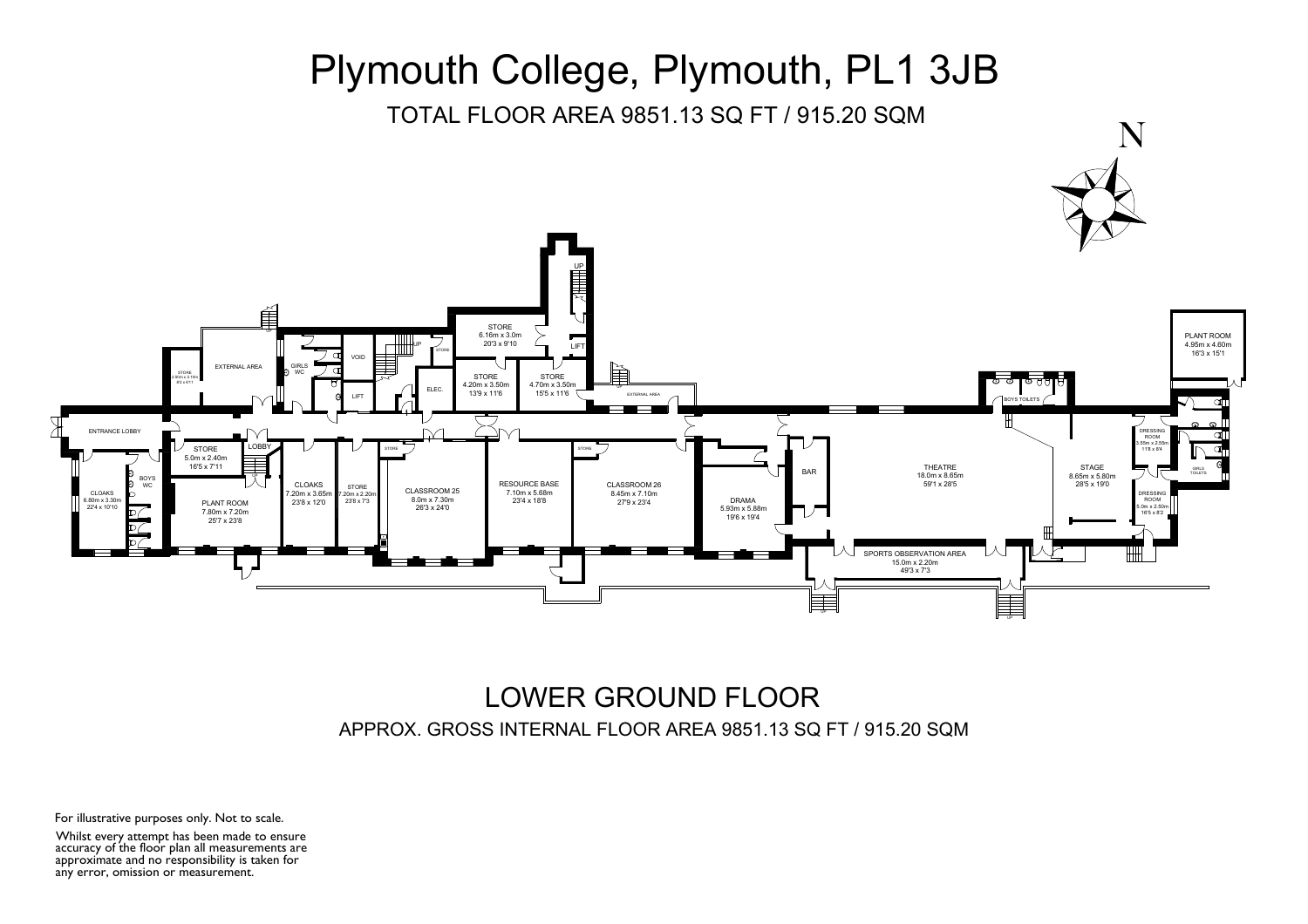# Plymouth College, Plymouth, PL1 3JB

TOTAL FLOOR AREA 9851.13 SQ FT / 915.20 SQM



## LOWER GROUND FLOOR APPROX. GROSS INTERNAL FLOOR AREA 9851.13 SQ FT / 915.20 SQM

For illustrative purposes only. Not to scale.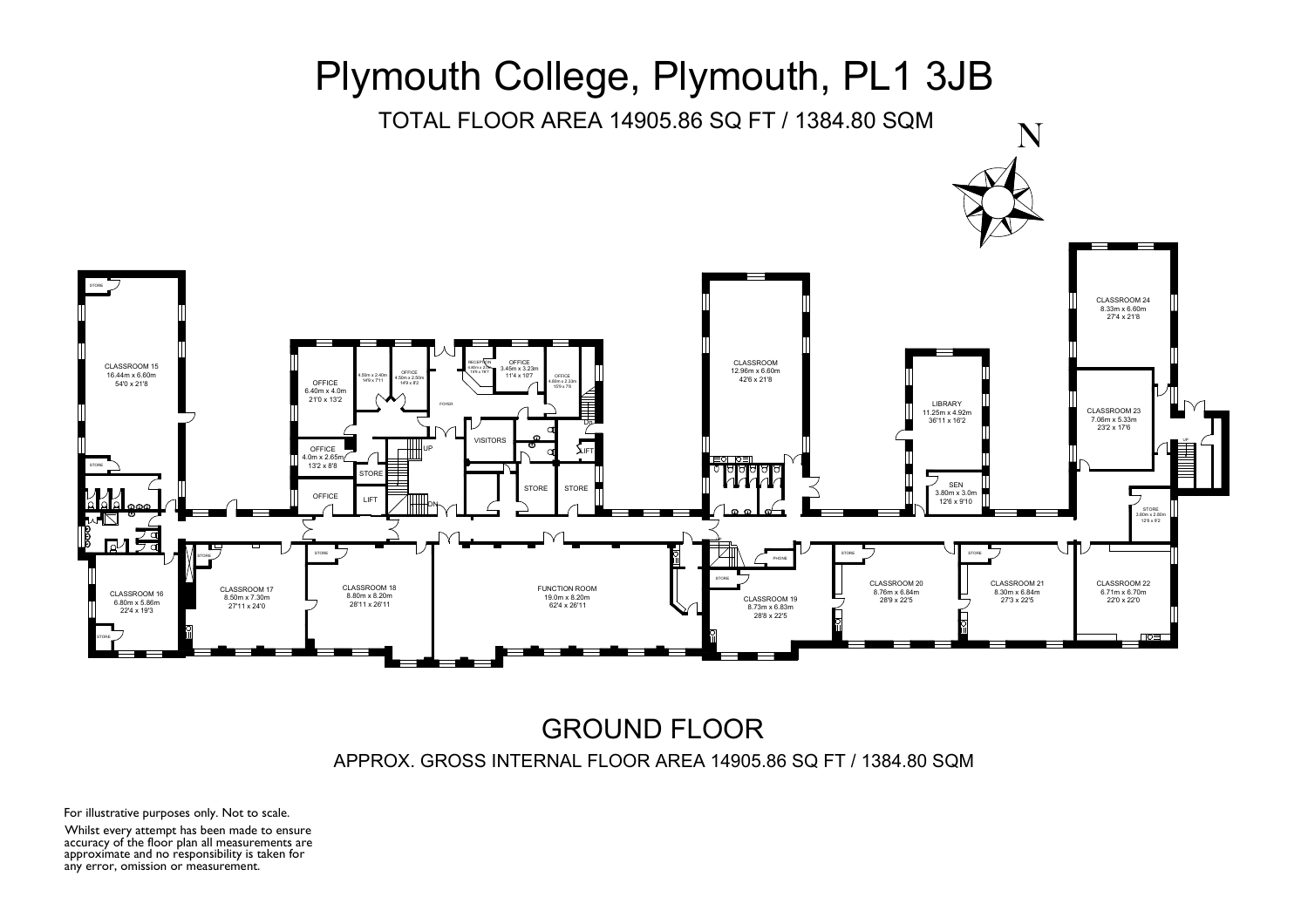

#### GROUND FLOOR APPROX. GROSS INTERNAL FLOOR AREA 14905.86 SQ FT / 1384.80 SQM

For illustrative purposes only. Not to scale.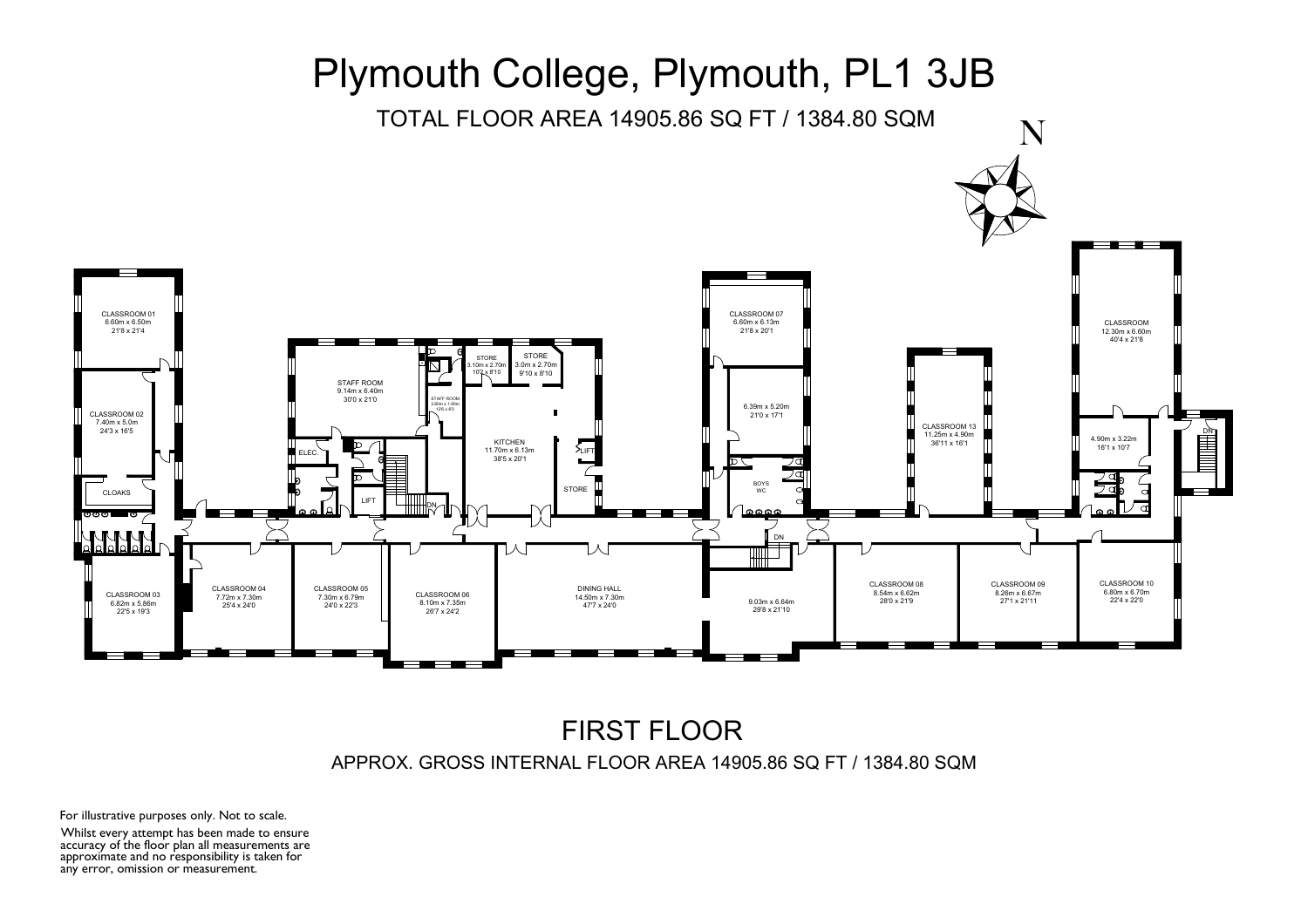

### FIRST FLOOR APPROX. GROSS INTERNAL FLOOR AREA 14905.86 SQ FT / 1384.80 SQM

For illustrative purposes only. Not to scale.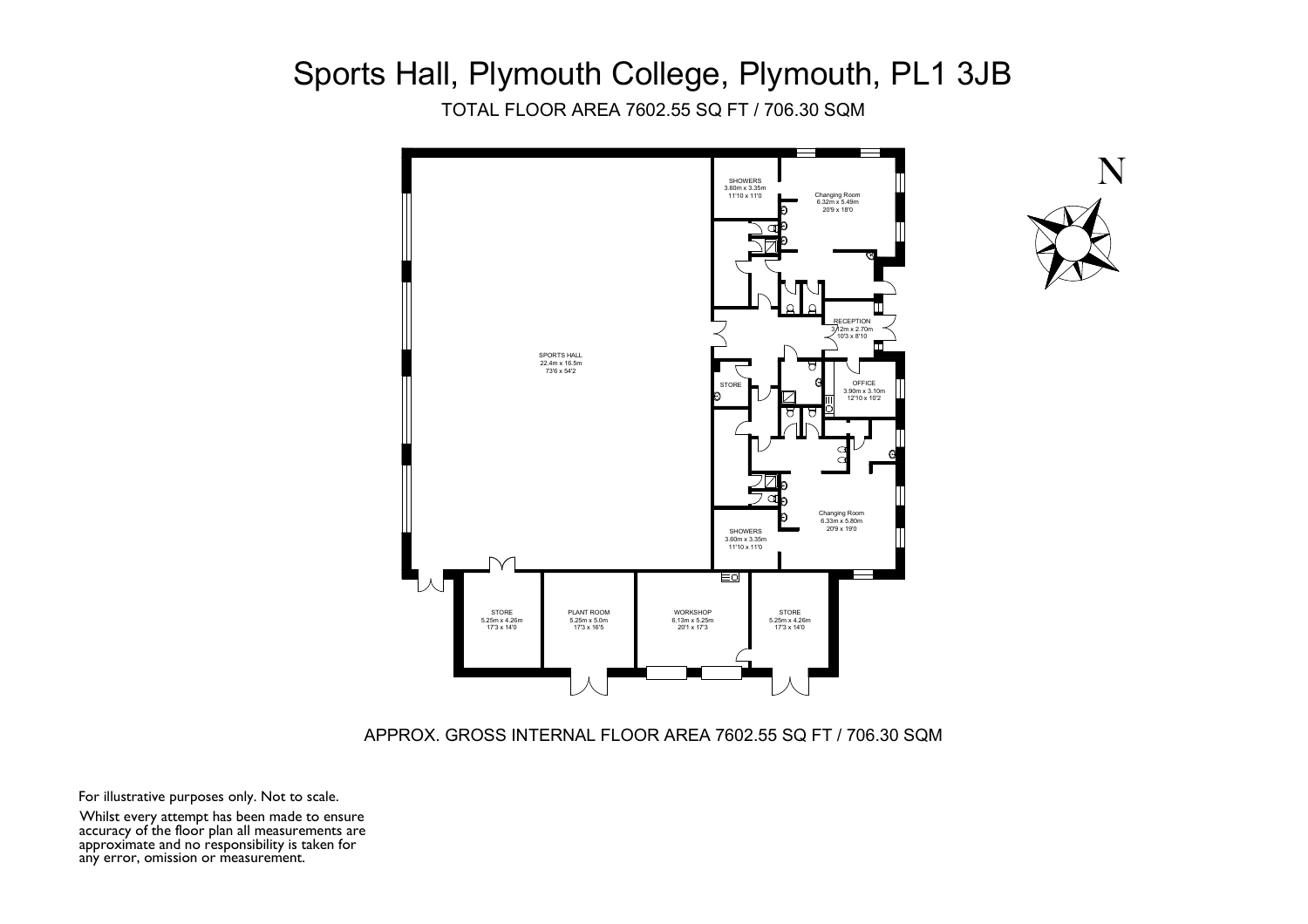# Sports Hall, Plymouth College, Plymouth, PL1 3JB

TOTAL FLOOR AREA 7602.55 SQ FT / 706.30 SQM



APPROX. GROSS INTERNAL FLOOR AREA 7602.55 SQ FT / 706.30 SQM



For illustrative purposes only. Not to scale.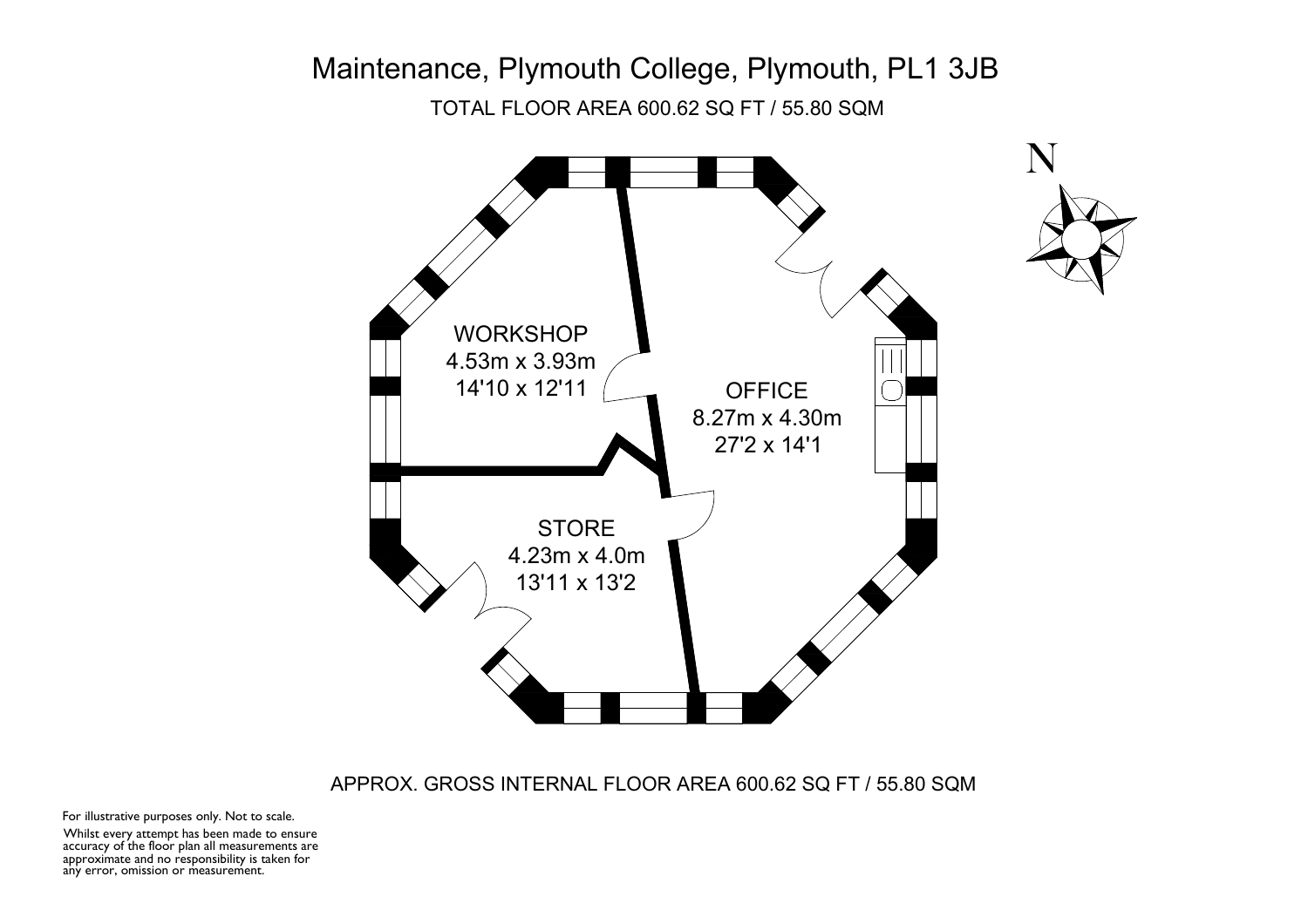

APPROX. GROSS INTERNAL FLOOR AREA 600.62 SQ FT / 55.80 SQM

For illustrative purposes only. Not to scale.